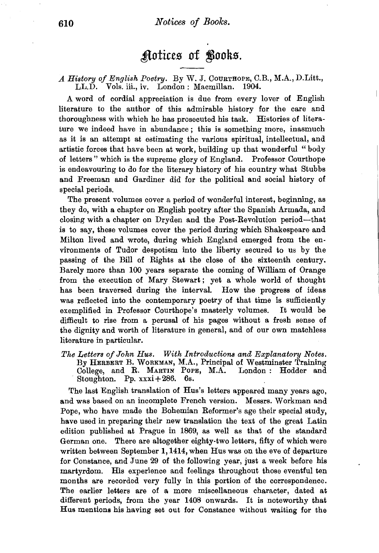## $'$ Aotices of *Looks*.

## *A History of English Poetry.* By W. J. COURTHOPE, C.B., M.A., D.Litt., LL.D. Vols. iii., iv. London: Macmillan. 1904.

A word of cordial appreciation is due from every lover of English literature to the author of this admirable history for the care and thoroughness with which he has prosecuted his task. Histories of literature we indeed have in abundance ; this is something more, inasmuch as it is an attempt at estimating the various spiritual, intellectual, and artistic forces that have been at work, building up that wonderful "body of letters" which is the supreme glory of England. Professor Courthope is endeavouring to do for the literary history of his country what Stubbs and Freeman and Gardiner did for the political and social history of special periods.

The present volumes cover a period of wonderful interest, beginning, as they do, with a chapter on English poetry after the Spanish Armada, and closing with a chapter on Dryden and the Post-Revolution period-that is to say, these volumes cover the period during which Shakespeare and Milton lived and wrote, during which England emerged from the environments of Tudor despotism into the liberty secured to us by the passing of the Bill of Rights at the close of the sixteenth century. Barely more than 100 years separate the coming of William of Orange from the execution of Mary. Stewart ; yet a whole world of thought has been traversed during the interval. How the progress of ideas was reflected into the contemporary poetry of that time is sufficiently exemplified in Professor Courthope's masterly volumes. It would be difficult to rise from a perusal of his pages without a fresh sense of the dignity and worth of literature in general, and of our own matchless literature in particular.

*The Letters of John Hus. With Introductions and Explanatory Notes.*  By HERBERT B. WoRKMAN, M.A., Principal of Westminster Training College, and R. MARTIN POPE, M.A. London : Hodder and Stoughton. Pp. xxxi+286. 6s.

The last English translation of Hus's letters appeared many years ago, and was based on an incomplete French version. Messrs. Workman and Pope, who have made the Bohemian Reformer's age their special study, have used in preparing their new translation the text of the great Latin edition published at Prague in 1869, as well as that of the standard German one. There are altogether eighty-two letters, fifty of which were written between September 1,1414, when Hus was on the eve of departure for Constance, and June 29 of the following year, just a week before his martyrdom. His experience and feelings throughout those eventful ten months are recorded very fully in this portion of the correspondence. The earlier letters are of a more miscellaneous character, dated at different periods, from the year 1408 onwards. It is noteworthy that Hus mentions his having set out for Constance without waiting for the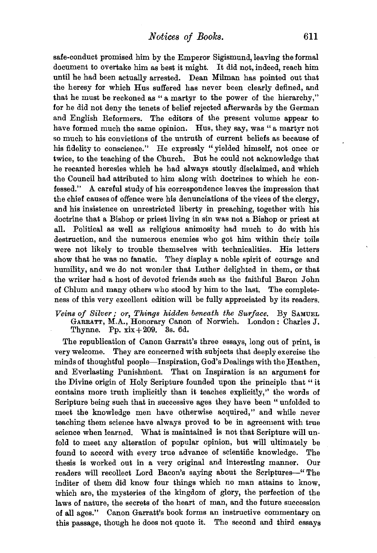safe-conduct promised him by the Emperor Sigismund, leaving the formal document to overtake him as best it might. It did not, indeed, reach him until he had been actually arrested. Dean Milman has pointed out that the heresy for which Hus suffered has never been clearly defined, and that he must be reckoned as "a martyr to the power of the hierarchy," for he did not deny the tenets of belief rejected afterwards by the German and English Reformers. The editors of the present volume appear to have formed much the same opinion. Hus, they say, was "a martyr not so much to his convictions of the untruth of current beliefs as because of his fidelity to conscience." He expressly "yielded himself, not once or twice, to the teaching of the Church. But he could not acknowledge that he recanted heresies which he had always stoutly disclaimed, and which the Council had attributed to him along with doctrines to which he con· fessed." A careful study of his correspondence leaves the impression that the chief causes of offence were his denunciations of the vices of the clergy, and his insistence on unrestricted liberty in preaching, together with his doctrine that a Bishop or priest living in sin was not a Bishop or priest at all. Political as well as religious animosity had much to do with his destruction, and the numerous enemies who got him within their toils were not likely to trouble themselves with technicalities. His letters show that he was no fanatic. They display a noble spirit of courage and humility, and we do not wonder that Luther delighted in them, or that the writer had a host of devoted friends such as the faithful Baron John of Chlum and many others who stood by him to the last. The completeness of this very excellent edition will be fully appreciated by its readers.

*Veins of Silver; or, Things hidden beneath the Surface.* By SAMUEL GARRATT, M.A., Honorary Canon of Norwich. London: Charles J. Thynne. Pp. xix+209. 3s. 6d.

The republication of Canon Garratt's three essays, long out of print, is very welcome. They are concerned with subjects that deeply exercise the minds of thoughtful people—Inspiration, God's Dealings with the Heathen, and Everlasting Punishment. That on Inspiration is an argument for the Divine origin of Holy Scripture founded upon the principle that " it contains more truth implicitly than it teaches explicitly,'' the words of Scripture being such that in successive ages they have been "unfolded to meet the knowledge men have otherwise acquired," and while never teaching them science have always proved to be in agreement with true science when learned. What is maintained is not that Scripture will unfold to meet any alteration of popular opinion, but will ultimately be found to accord with every true advance of scientific knowledge. The thesis is worked out in a very original and interesting manner. Our readers will recollect Lord Bacon's saying about the Scriptures-" The inditer of them did know four things which no man attains to know, which are, the mysteries of the kingdom of glory, the perfection of the laws of nature, the secrets of the heart of man, and the future succession of all ages." Canon Garratt's book forms an instructive commentary on this passage, though he does not quote it. The second and third essays